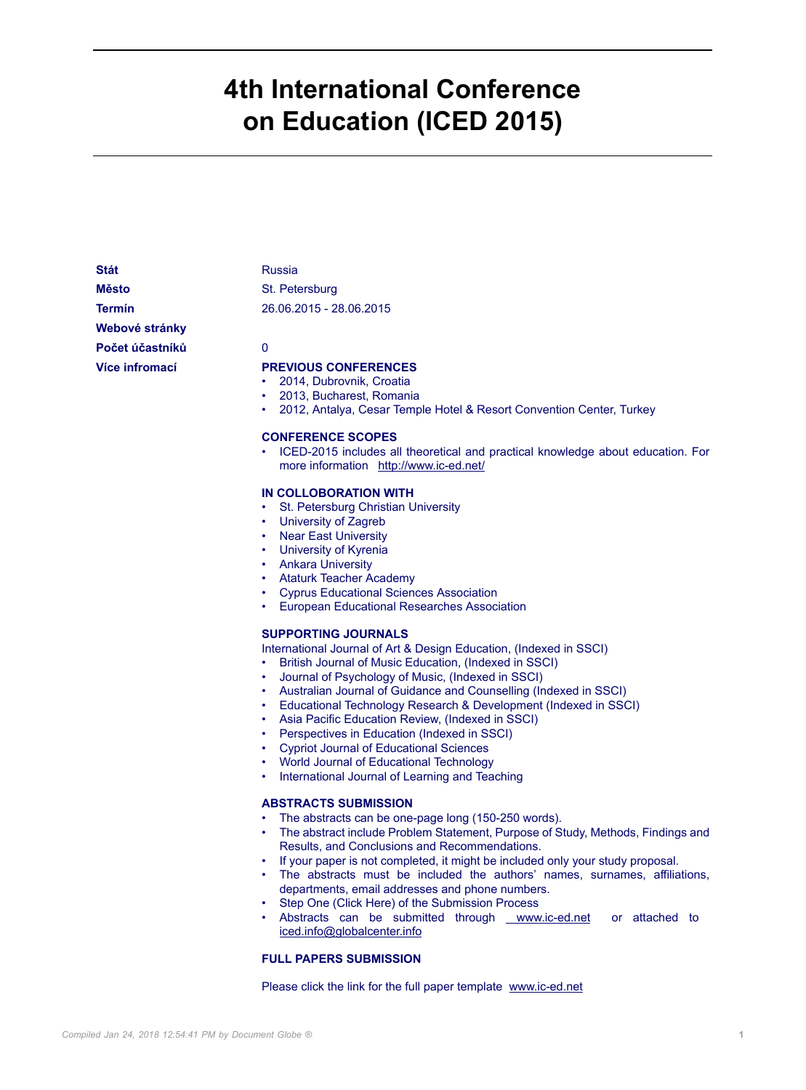# **4th International Conference on Education (ICED 2015)**

**Stát** Russia **Město** St. Petersburg

**Webové stránky**

**Termín** 26.06.2015 - 28.06.2015

**Počet účastníků** 0

## **Více infromací PREVIOUS CONFERENCES**

- 2014, Dubrovnik, Croatia
- 2013, Bucharest, Romania
- 2012, Antalya, Cesar Temple Hotel & Resort Convention Center, Turkey

#### **CONFERENCE SCOPES**

• ICED-2015 includes all theoretical and practical knowledge about education. For more information <http://www.ic-ed.net/>

#### **IN COLLOBORATION WITH**

- St. Petersburg Christian University
- University of Zagreb
- **Near East University**
- University of Kyrenia
- Ankara University
- Ataturk Teacher Academy
- Cyprus Educational Sciences Association
- European Educational Researches Association

#### **SUPPORTING JOURNALS**

International Journal of Art & Design Education, (Indexed in SSCI)

- British Journal of Music Education, (Indexed in SSCI)
- Journal of Psychology of Music, (Indexed in SSCI)
- Australian Journal of Guidance and Counselling (Indexed in SSCI)
- Educational Technology Research & Development (Indexed in SSCI)
- Asia Pacific Education Review, (Indexed in SSCI)
- Perspectives in Education (Indexed in SSCI)
- Cypriot Journal of Educational Sciences
- World Journal of Educational Technology
- International Journal of Learning and Teaching

#### **ABSTRACTS SUBMISSION**

- The abstracts can be one-page long (150-250 words).
- The abstract include Problem Statement, Purpose of Study, Methods, Findings and Results, and Conclusions and Recommendations.
- If your paper is not completed, it might be included only your study proposal.
- The abstracts must be included the authors' names, surnames, affiliations, departments, email addresses and phone numbers.
- Step One (Click Here) of the Submission Process
- Abstracts can be submitted throug[h www.ic-ed.net](www.ic-ed.net) or attached to [iced.info@globalcenter.info](mailto:iced.info@globalcenter.info)

#### **FULL PAPERS SUBMISSION**

Please click the link for the full paper template<www.ic-ed.net>